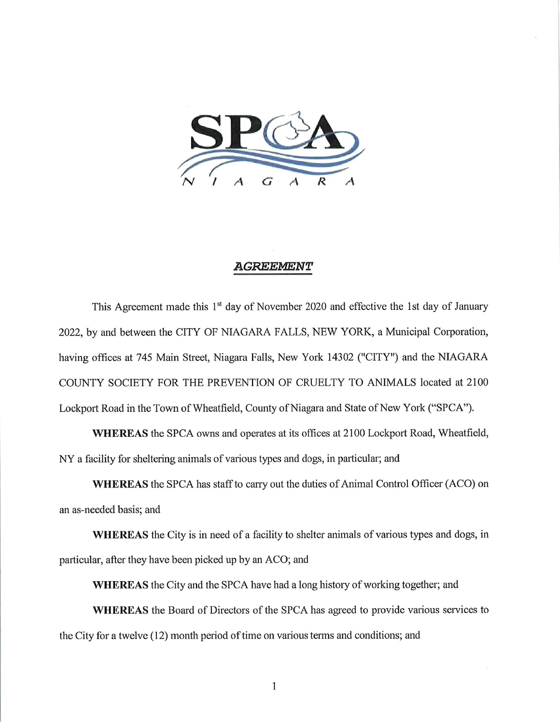

## AGREEMENT

This Agreement made this  $1<sup>st</sup>$  day of November 2020 and effective the 1st day of January 2022, by and between the CITY OF NIAGARA FALLS, NEW YORK, a Municipal Corporation, having offices at 745 Main Street, Niagara Falls, New York 14302 ("CITY") and the NIAGARA COUNTY SOCIETY FOR THE PREVENTION OF CRUELTY TO ANIMALS located at 2100 Lockport Road in the Town of Wheatfield, County of Niagara and State of New York ("SPCA").

WHEREAS the SPCA owns and operates at its offices at 2100 Lockport Road, Wheatfield, NY a facility for sheltering animals of various types and dogs, in particular; and

WHEREAS the SPCA has staff to carry out the duties of Animal Control Officer (ACO) on an as-needed basis; and

WHEREAS the City is in need of a facility to shelter animals of various types and dogs, in particular, after they have been picked up by an ACO; and

WHEREAS the City and the SPCA have had a long history of working together; and

WHEREAS the Board of Directors of the SPCA has agreed to provide various services to the City for a twelve (12) month period of time on various terms and conditions; and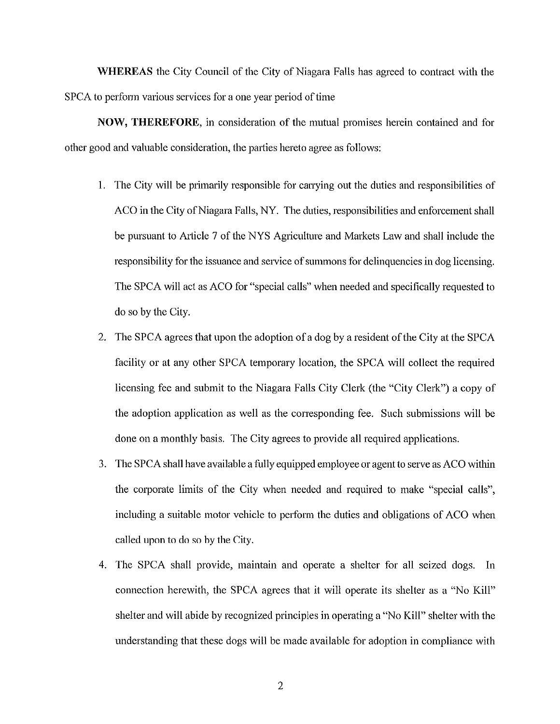WHEREAS the City Council of the City of Niagara Falls has agreed to contract with the SPCA to perform various services for a one year period of time

NOW) THEREFORE, in consideration of the mutual promises herein contained and for other good and valuable consideration, the parties hereto agree as follows:

- 1. The City will be primarily responsible for carrying out the duties and responsibilities of AGO in the City of Niagara Falls, NY. The duties, responsibilities and enforcement shall be pursuant to Article 7 of the NYS Agriculture and Markets Law and shall include the responsibility for the issuance and service of summons for delinquencies in dog licensing. The SPCA will act as ACO for "special calls" when needed and specifically requested to do so by the City.
- 2. The SPCA agrees that upon the adoption of a dog by a resident of the City at the SPCA facility or at any other SPCA temporary location, the SPCA will collect the required licensing fee and submit to the Niagara Falls City Clerk (the "City Clerk") a copy of the adoption application as well as the corresponding fee. Such submissions will be done on a monthly basis. The City agrees to provide all required applications.
- 3. The SPCA shall have available a fully equipped employee or agent to serve as AGO within the corporate limits of the City when needed and required to make "special calls", including a suitable motor vehicle to perform the duties and obligations of AGO when called upon to do so by the City.
- 4. The SPCA shall provide, maintain and operate a shelter for all seized dogs. In connection herewith, the SPCA agrees that it will operate its shelter as a "No Kill" shelter and will abide by recognized principles in operating a "No Kill" shelter with the understanding that these dogs will be made available for adoption in compliance with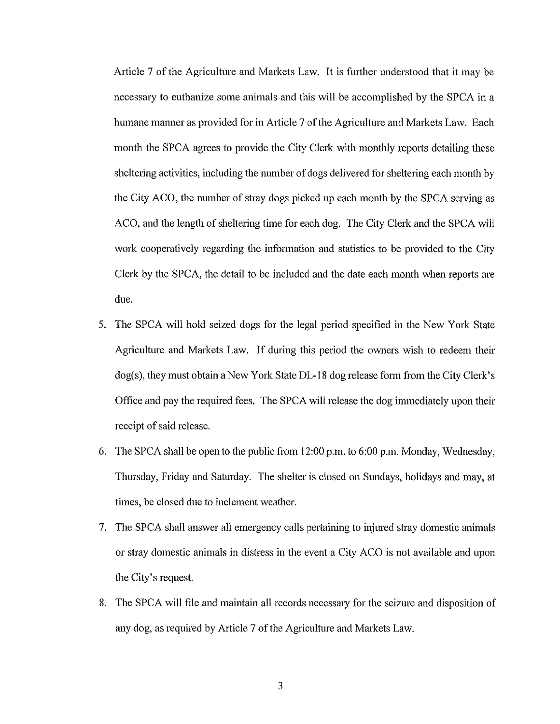Article 7 of the Agriculture and Markets Law. It is further understood that it may be necessary to euthanize some animals and this will be accomplished by the SPCA in a humane manner as provided for in Article 7 of the Agriculture and Markets Law. Each month the SPCA agrees to provide the City Clerk with monthly reports detailing these sheltering activities, including the number of dogs delivered for sheltering each month by the City AGO, the number of stray dogs picked up each month by the SPCA serving as AGO, and the length of sheltering time for each dog. The City Clerk and the SPCA will work cooperatively regarding the information and statistics to be provided to the City Clerk by the SPCA, the detail to be included and the date each month when reports are due.

- 5. The SPCA will hold seized dogs for the legal period specified in the New York State Agriculture and Markets Law. If during this period the owners wish to redeem their dog(s), they must obtain a New York State DL-18 dog release form from the City Clerk's Office and pay the required fees. The SPCA will release the dog immediately upon their receipt of said release.
- 6. The SPCA shall be open to the public from 12:00 p.m. to 6:00 p.m. Monday, Wednesday, Thursday, Friday and Saturday. The shelter is closed on Sundays, holidays and may, at times, be closed due to inclement weather.
- 7. The SPCA shall answer all emergency calls pertaining to injured stray domestic animals or stray domestic animals in distress in the event a City AGO is not available and upon the City's request.
- 8. The SPCA will file and maintain all records necessary for the seizure and disposition of any dog, as required by Article 7 of the Agriculture and Markets Law.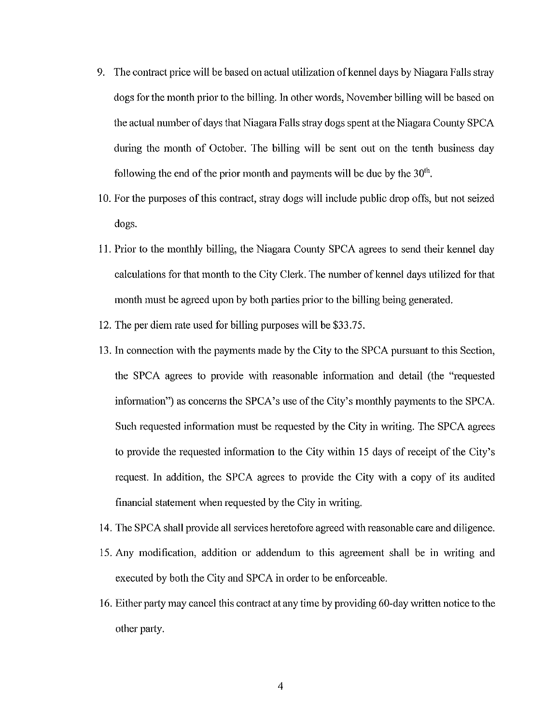- 9. The contract price will be based on actual utilization of kennel days by Niagara Falls stray dogs for the month prior to the billing. In other words, November billing will be based on the actual number of days that Niagara Falls stray dogs spent at the Niagara County SPCA during the month of October. The billing will be sent out on the tenth business day following the end of the prior month and payments will be due by the  $30<sup>th</sup>$ .
- 10. For the purposes of this contract, stray dogs will include public drop offs, but not seized dogs.
- 11. Prior to the monthly billing, the Niagara County SPCA agrees to send their kennel day calculations for that month to the City Clerk. The number of kennel days utilized for that month must be agreed upon by both parties prior to the billing being generated.
- 12. The per diem rate used for billing purposes will be \$33.75.
- 13. In connection with the payments made by the City to the SPCA pursuant to this Section, the SPCA agrees to provide with reasonable information and detail (the "requested information") as concerns the SPCA's use of the City's monthly payments to the SPCA. Such requested information must be requested by the City in writing. The SPCA agrees to provide the requested information to the City within 15 days of receipt of the City's request. In addition, the SPCA agrees to provide the City with a copy of its audited financial statement when requested by the City in writing.
- 14. The SPCA shall provide all services heretofore agreed with reasonable care and diligence.
- 15. Any modification, addition or addendum to this agreement shall be in writing and executed by both the City and SPCA in order to be enforceable.
- 16. Either party may cancel this contract at any time by providing 60-day written notice to the other party.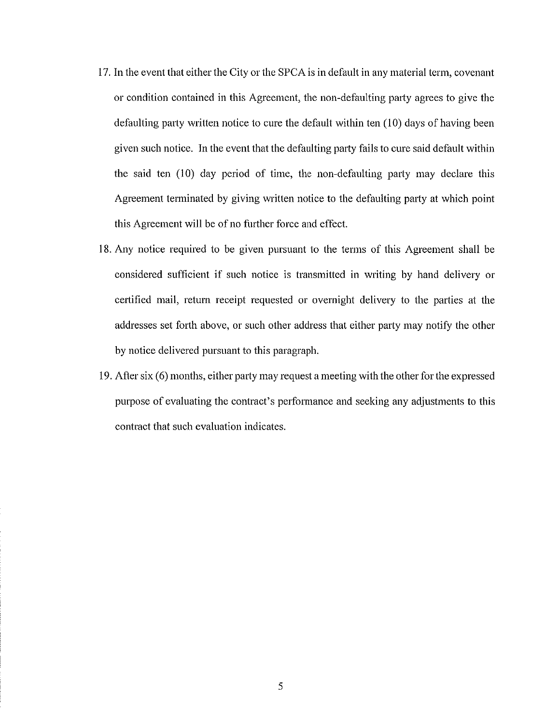- 17. In the event that either the City or the SPCA is in default in any material term, covenant or condition contained in this Agreement, the non-defaulting party agrees to give the defaulting party written notice to cure the default within ten (10) days of having been given such notice. In the event that the defaulting party fails to cure said default within the said ten (10) day period of time, the non-defaulting party may declare this Agreement terminated by giving written notice to the defaulting party at which point this Agreement will be of no further force and effect.
- 18. Any notice required to be given pursuant to the terms of this Agreement shall be considered sufficient if such notice is transmitted in writing by hand delivery or certified mail, return receipt requested or overnight delivery to the parties at the addresses set forth above, or such other address that either party may notify the other by notice delivered pursuant to this paragraph.
- 19. After six (6) months, either party may request a meeting with the other for the expressed purpose of evaluating the contract's performance and seeking any adjustments to this contract that such evaluation indicates.